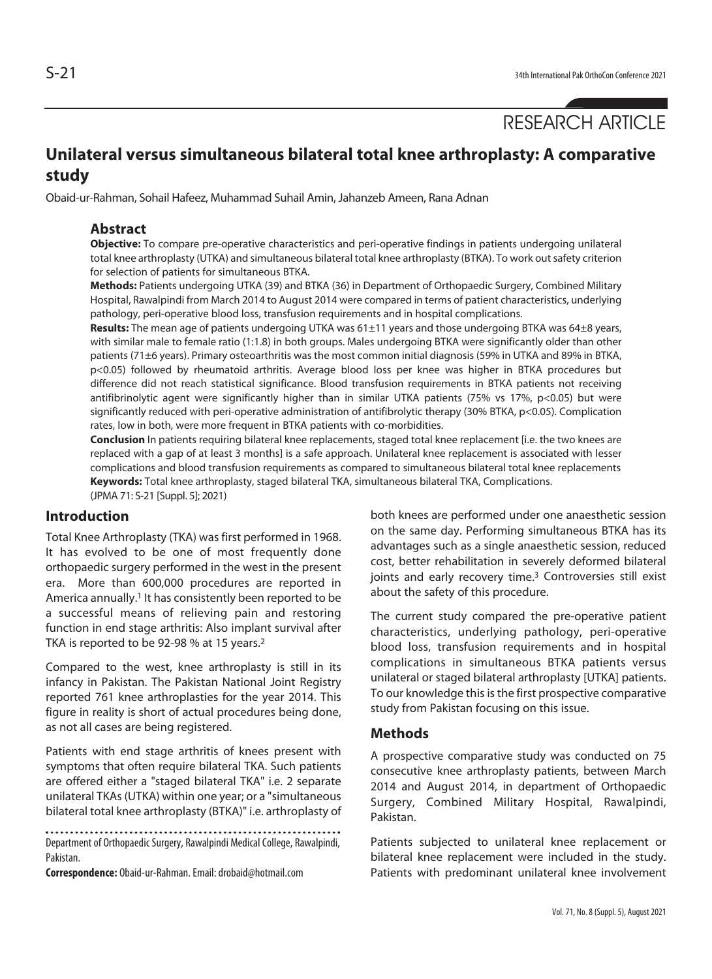# **Unilateral versus simultaneous bilateral total knee arthroplasty: A comparative study**

Obaid-ur-Rahman, Sohail Hafeez, Muhammad Suhail Amin, Jahanzeb Ameen, Rana Adnan

#### **Abstract**

**Objective:** To compare pre-operative characteristics and peri-operative findings in patients undergoing unilateral total knee arthroplasty (UTKA) and simultaneous bilateral total knee arthroplasty (BTKA). To work out safety criterion for selection of patients for simultaneous BTKA.

**Methods:** Patients undergoing UTKA (39) and BTKA (36) in Department of Orthopaedic Surgery, Combined Military Hospital, Rawalpindi from March 2014 to August 2014 were compared in terms of patient characteristics, underlying pathology, peri-operative blood loss, transfusion requirements and in hospital complications.

**Results:** The mean age of patients undergoing UTKA was 61±11 years and those undergoing BTKA was 64±8 years, with similar male to female ratio (1:1.8) in both groups. Males undergoing BTKA were significantly older than other patients (71±6 years). Primary osteoarthritis was the most common initial diagnosis (59% in UTKA and 89% in BTKA, p<0.05) followed by rheumatoid arthritis. Average blood loss per knee was higher in BTKA procedures but difference did not reach statistical significance. Blood transfusion requirements in BTKA patients not receiving antifibrinolytic agent were significantly higher than in similar UTKA patients (75% vs 17%, p<0.05) but were significantly reduced with peri-operative administration of antifibrolytic therapy (30% BTKA, p<0.05). Complication rates, low in both, were more frequent in BTKA patients with co-morbidities.

**Conclusion** In patients requiring bilateral knee replacements, staged total knee replacement [i.e. the two knees are replaced with a gap of at least 3 months] is a safe approach. Unilateral knee replacement is associated with lesser complications and blood transfusion requirements as compared to simultaneous bilateral total knee replacements **Keywords:** Total knee arthroplasty, staged bilateral TKA, simultaneous bilateral TKA, Complications.

(JPMA 71: S-21 [Suppl. 5]; 2021)

# **Introduction**

Total Knee Arthroplasty (TKA) was first performed in 1968. It has evolved to be one of most frequently done orthopaedic surgery performed in the west in the present era. More than 600,000 procedures are reported in America annually.<sup>1</sup> It has consistently been reported to be a successful means of relieving pain and restoring function in end stage arthritis: Also implant survival after TKA is reported to be 92-98 % at 15 years.2

Compared to the west, knee arthroplasty is still in its infancy in Pakistan. The Pakistan National Joint Registry reported 761 knee arthroplasties for the year 2014. This figure in reality is short of actual procedures being done, as not all cases are being registered.

Patients with end stage arthritis of knees present with symptoms that often require bilateral TKA. Such patients are offered either a "staged bilateral TKA" i.e. 2 separate unilateral TKAs (UTKA) within one year; or a "simultaneous bilateral total knee arthroplasty (BTKA)" i.e. arthroplasty of

Department of Orthopaedic Surgery, Rawalpindi Medical College, Rawalpindi, Pakistan.

**Correspondence:** Obaid-ur-Rahman. Email: drobaid@hotmail.com

both knees are performed under one anaesthetic session on the same day. Performing simultaneous BTKA has its advantages such as a single anaesthetic session, reduced cost, better rehabilitation in severely deformed bilateral joints and early recovery time.<sup>3</sup> Controversies still exist about the safety of this procedure.

The current study compared the pre-operative patient characteristics, underlying pathology, peri-operative blood loss, transfusion requirements and in hospital complications in simultaneous BTKA patients versus unilateral or staged bilateral arthroplasty [UTKA] patients. To our knowledge this is the first prospective comparative study from Pakistan focusing on this issue.

#### **Methods**

A prospective comparative study was conducted on 75 consecutive knee arthroplasty patients, between March 2014 and August 2014, in department of Orthopaedic Surgery, Combined Military Hospital, Rawalpindi, Pakistan.

Patients subjected to unilateral knee replacement or bilateral knee replacement were included in the study. Patients with predominant unilateral knee involvement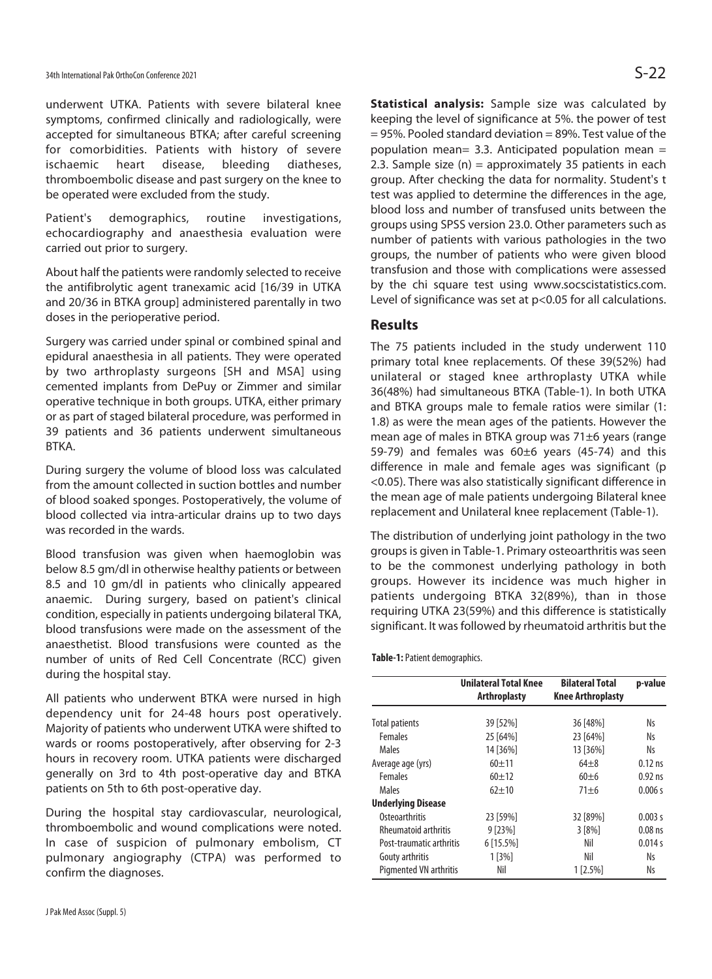underwent UTKA. Patients with severe bilateral knee symptoms, confirmed clinically and radiologically, were accepted for simultaneous BTKA; after careful screening for comorbidities. Patients with history of severe ischaemic heart disease, bleeding diatheses, thromboembolic disease and past surgery on the knee to be operated were excluded from the study.

Patient's demographics, routine investigations, echocardiography and anaesthesia evaluation were carried out prior to surgery.

About half the patients were randomly selected to receive the antifibrolytic agent tranexamic acid [16/39 in UTKA and 20/36 in BTKA group] administered parentally in two doses in the perioperative period.

Surgery was carried under spinal or combined spinal and epidural anaesthesia in all patients. They were operated by two arthroplasty surgeons [SH and MSA] using cemented implants from DePuy or Zimmer and similar operative technique in both groups. UTKA, either primary or as part of staged bilateral procedure, was performed in 39 patients and 36 patients underwent simultaneous BTKA.

During surgery the volume of blood loss was calculated from the amount collected in suction bottles and number of blood soaked sponges. Postoperatively, the volume of blood collected via intra-articular drains up to two days was recorded in the wards.

Blood transfusion was given when haemoglobin was below 8.5 gm/dl in otherwise healthy patients or between 8.5 and 10 gm/dl in patients who clinically appeared anaemic. During surgery, based on patient's clinical condition, especially in patients undergoing bilateral TKA, blood transfusions were made on the assessment of the anaesthetist. Blood transfusions were counted as the number of units of Red Cell Concentrate (RCC) given during the hospital stay.

All patients who underwent BTKA were nursed in high dependency unit for 24-48 hours post operatively. Majority of patients who underwent UTKA were shifted to wards or rooms postoperatively, after observing for 2-3 hours in recovery room. UTKA patients were discharged generally on 3rd to 4th post-operative day and BTKA patients on 5th to 6th post-operative day.

During the hospital stay cardiovascular, neurological, thromboembolic and wound complications were noted. In case of suspicion of pulmonary embolism, CT pulmonary angiography (CTPA) was performed to confirm the diagnoses.

**Statistical analysis:** Sample size was calculated by keeping the level of significance at 5%. the power of test  $= 95$ %. Pooled standard deviation  $= 89$ %. Test value of the population mean= 3.3. Anticipated population mean = 2.3. Sample size  $(n)$  = approximately 35 patients in each group. After checking the data for normality. Student's t test was applied to determine the differences in the age, blood loss and number of transfused units between the groups using SPSS version 23.0. Other parameters such as number of patients with various pathologies in the two groups, the number of patients who were given blood transfusion and those with complications were assessed by the chi square test using www.socscistatistics.com. Level of significance was set at p<0.05 for all calculations.

### **Results**

The 75 patients included in the study underwent 110 primary total knee replacements. Of these 39(52%) had unilateral or staged knee arthroplasty UTKA while 36(48%) had simultaneous BTKA (Table-1). In both UTKA and BTKA groups male to female ratios were similar (1: 1.8) as were the mean ages of the patients. However the mean age of males in BTKA group was 71±6 years (range 59-79) and females was 60±6 years (45-74) and this difference in male and female ages was significant (p <0.05). There was also statistically significant difference in the mean age of male patients undergoing Bilateral knee replacement and Unilateral knee replacement (Table-1).

The distribution of underlying joint pathology in the two groups is given in Table-1. Primary osteoarthritis was seen to be the commonest underlying pathology in both groups. However its incidence was much higher in patients undergoing BTKA 32(89%), than in those requiring UTKA 23(59%) and this difference is statistically significant. It was followed by rheumatoid arthritis but the

**Table-1:** Patient demographics.

|                               | <b>Unilateral Total Knee</b> | <b>Bilateral Total</b>   | p-value   |
|-------------------------------|------------------------------|--------------------------|-----------|
|                               | <b>Arthroplasty</b>          | <b>Knee Arthroplasty</b> |           |
|                               |                              |                          |           |
| <b>Total patients</b>         | 39 [52%]                     | 36 [48%]                 | Ns        |
| Females                       | 25 [64%]                     | 23 [64%]                 | Ns        |
| Males                         | 14 [36%]                     | 13 [36%]                 | Ns        |
| Average age (yrs)             | $60 + 11$                    | $64 + 8$                 | $0.12$ ns |
| <b>Females</b>                | $60 + 12$                    | $60\pm6$                 | $0.92$ ns |
| <b>Males</b>                  | $62 + 10$                    | $71 + 6$                 | 0.006 s   |
| <b>Underlying Disease</b>     |                              |                          |           |
| <b>Osteoarthritis</b>         | 23 [59%]                     | 32 [89%]                 | 0.003 s   |
| <b>Rheumatoid arthritis</b>   | 9 [23%]                      | 3 [8%]                   | $0.08$ ns |
| Post-traumatic arthritis      | 6 [15.5%]                    | Nil                      | 0.014 s   |
| Gouty arthritis               | 1[3%]                        | Nil                      | Ns        |
| <b>Pigmented VN arthritis</b> | Nil                          | $1 [2.5\%]$              | Ns        |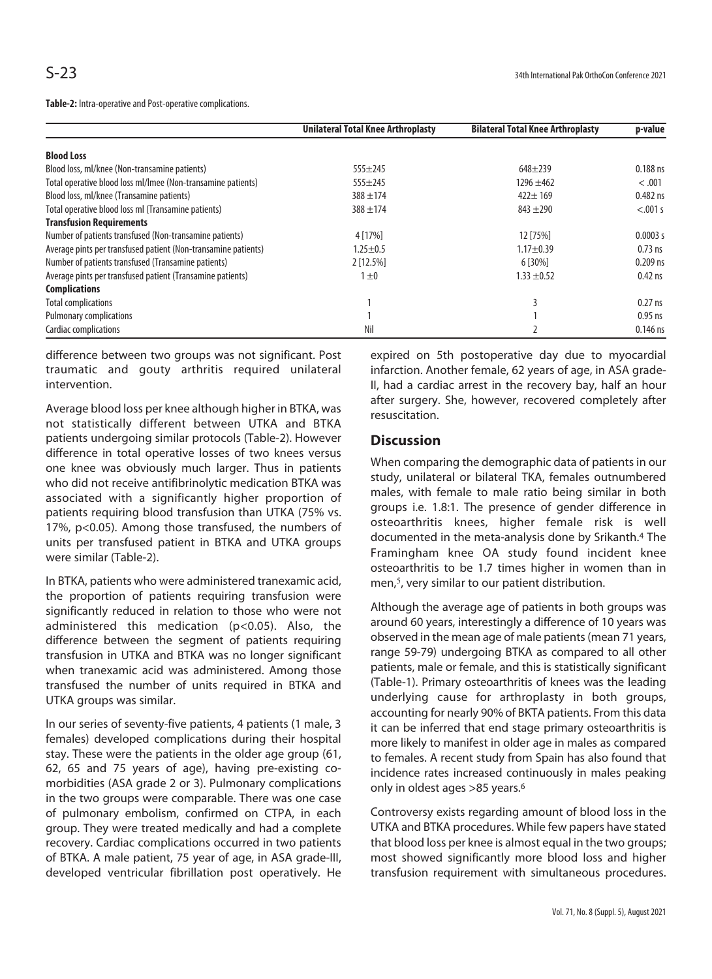**Table-2:** Intra-operative and Post-operative complications.

|                                                                | <b>Unilateral Total Knee Arthroplasty</b> | <b>Bilateral Total Knee Arthroplasty</b> | p-value    |
|----------------------------------------------------------------|-------------------------------------------|------------------------------------------|------------|
| <b>Blood Loss</b>                                              |                                           |                                          |            |
| Blood loss, ml/knee (Non-transamine patients)                  | $555 \pm 245$                             | $648 + 239$                              | $0.188$ ns |
| Total operative blood loss ml/lmee (Non-transamine patients)   | $555 \pm 245$                             | $1296 \pm 462$                           | < .001     |
| Blood loss, ml/knee (Transamine patients)                      | $388 + 174$                               | $422 \pm 169$                            | $0.482$ ns |
| Total operative blood loss ml (Transamine patients)            | $388 + 174$                               | $843 + 290$                              | < .001 s   |
| <b>Transfusion Requirements</b>                                |                                           |                                          |            |
| Number of patients transfused (Non-transamine patients)        | 4 [17%]                                   | 12 [75%]                                 | 0.0003 s   |
| Average pints per transfused patient (Non-transamine patients) | $1.25 + 0.5$                              | $1.17 + 0.39$                            | $0.73$ ns  |
| Number of patients transfused (Transamine patients)            | 2 [12.5%]                                 | 6 [30%]                                  | $0.209$ ns |
| Average pints per transfused patient (Transamine patients)     | $1 \pm 0$                                 | $1.33 \pm 0.52$                          | $0.42$ ns  |
| <b>Complications</b>                                           |                                           |                                          |            |
| <b>Total complications</b>                                     |                                           |                                          | $0.27$ ns  |
| <b>Pulmonary complications</b>                                 |                                           |                                          | $0.95$ ns  |
| Cardiac complications                                          | Nil                                       |                                          | $0.146$ ns |

difference between two groups was not significant. Post traumatic and gouty arthritis required unilateral intervention.

Average blood loss per knee although higher in BTKA, was not statistically different between UTKA and BTKA patients undergoing similar protocols (Table-2). However difference in total operative losses of two knees versus one knee was obviously much larger. Thus in patients who did not receive antifibrinolytic medication BTKA was associated with a significantly higher proportion of patients requiring blood transfusion than UTKA (75% vs. 17%, p<0.05). Among those transfused, the numbers of units per transfused patient in BTKA and UTKA groups were similar (Table-2).

In BTKA, patients who were administered tranexamic acid, the proportion of patients requiring transfusion were significantly reduced in relation to those who were not administered this medication (p<0.05). Also, the difference between the segment of patients requiring transfusion in UTKA and BTKA was no longer significant when tranexamic acid was administered. Among those transfused the number of units required in BTKA and UTKA groups was similar.

In our series of seventy-five patients, 4 patients (1 male, 3 females) developed complications during their hospital stay. These were the patients in the older age group (61, 62, 65 and 75 years of age), having pre-existing comorbidities (ASA grade 2 or 3). Pulmonary complications in the two groups were comparable. There was one case of pulmonary embolism, confirmed on CTPA, in each group. They were treated medically and had a complete recovery. Cardiac complications occurred in two patients of BTKA. A male patient, 75 year of age, in ASA grade-III, developed ventricular fibrillation post operatively. He

expired on 5th postoperative day due to myocardial infarction. Another female, 62 years of age, in ASA grade-II, had a cardiac arrest in the recovery bay, half an hour after surgery. She, however, recovered completely after resuscitation.

# **Discussion**

When comparing the demographic data of patients in our study, unilateral or bilateral TKA, females outnumbered males, with female to male ratio being similar in both groups i.e. 1.8:1. The presence of gender difference in osteoarthritis knees, higher female risk is well documented in the meta-analysis done by Srikanth.4 The Framingham knee OA study found incident knee osteoarthritis to be 1.7 times higher in women than in men,<sup>5</sup>, very similar to our patient distribution.

Although the average age of patients in both groups was around 60 years, interestingly a difference of 10 years was observed in the mean age of male patients (mean 71 years, range 59-79) undergoing BTKA as compared to all other patients, male or female, and this is statistically significant (Table-1). Primary osteoarthritis of knees was the leading underlying cause for arthroplasty in both groups, accounting for nearly 90% of BKTA patients. From this data it can be inferred that end stage primary osteoarthritis is more likely to manifest in older age in males as compared to females. A recent study from Spain has also found that incidence rates increased continuously in males peaking only in oldest ages >85 years.6

Controversy exists regarding amount of blood loss in the UTKA and BTKA procedures. While few papers have stated that blood loss per knee is almost equal in the two groups; most showed significantly more blood loss and higher transfusion requirement with simultaneous procedures.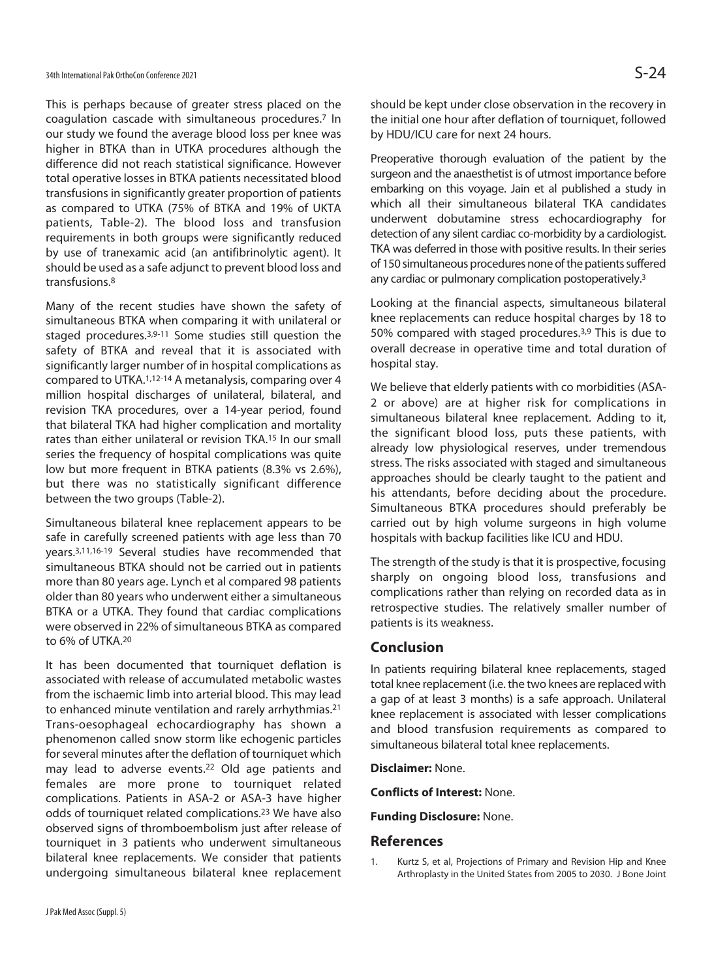This is perhaps because of greater stress placed on the coagulation cascade with simultaneous procedures.7 In our study we found the average blood loss per knee was higher in BTKA than in UTKA procedures although the difference did not reach statistical significance. However total operative losses in BTKA patients necessitated blood transfusions in significantly greater proportion of patients as compared to UTKA (75% of BTKA and 19% of UKTA patients, Table-2). The blood loss and transfusion requirements in both groups were significantly reduced by use of tranexamic acid (an antifibrinolytic agent). It should be used as a safe adjunct to prevent blood loss and transfusions.8

Many of the recent studies have shown the safety of simultaneous BTKA when comparing it with unilateral or staged procedures.3,9-11 Some studies still question the safety of BTKA and reveal that it is associated with significantly larger number of in hospital complications as compared to UTKA.1,12-14 A metanalysis, comparing over 4 million hospital discharges of unilateral, bilateral, and revision TKA procedures, over a 14-year period, found that bilateral TKA had higher complication and mortality rates than either unilateral or revision TKA.15 In our small series the frequency of hospital complications was quite low but more frequent in BTKA patients (8.3% vs 2.6%), but there was no statistically significant difference between the two groups (Table-2).

Simultaneous bilateral knee replacement appears to be safe in carefully screened patients with age less than 70 years.3,11,16-19 Several studies have recommended that simultaneous BTKA should not be carried out in patients more than 80 years age. Lynch et al compared 98 patients older than 80 years who underwent either a simultaneous BTKA or a UTKA. They found that cardiac complications were observed in 22% of simultaneous BTKA as compared to 6% of UTKA.20

It has been documented that tourniquet deflation is associated with release of accumulated metabolic wastes from the ischaemic limb into arterial blood. This may lead to enhanced minute ventilation and rarely arrhythmias.21 Trans-oesophageal echocardiography has shown a phenomenon called snow storm like echogenic particles for several minutes after the deflation of tourniquet which may lead to adverse events.22 Old age patients and females are more prone to tourniquet related complications. Patients in ASA-2 or ASA-3 have higher odds of tourniquet related complications.23 We have also observed signs of thromboembolism just after release of tourniquet in 3 patients who underwent simultaneous bilateral knee replacements. We consider that patients undergoing simultaneous bilateral knee replacement should be kept under close observation in the recovery in the initial one hour after deflation of tourniquet, followed by HDU/ICU care for next 24 hours.

Preoperative thorough evaluation of the patient by the surgeon and the anaesthetist is of utmost importance before embarking on this voyage. Jain et al published a study in which all their simultaneous bilateral TKA candidates underwent dobutamine stress echocardiography for detection of any silent cardiac co-morbidity by a cardiologist. TKA was deferred in those with positive results. In their series of 150 simultaneous procedures none of the patients suffered any cardiac or pulmonary complication postoperatively.3

Looking at the financial aspects, simultaneous bilateral knee replacements can reduce hospital charges by 18 to 50% compared with staged procedures.3,9 This is due to overall decrease in operative time and total duration of hospital stay.

We believe that elderly patients with co morbidities (ASA-2 or above) are at higher risk for complications in simultaneous bilateral knee replacement. Adding to it, the significant blood loss, puts these patients, with already low physiological reserves, under tremendous stress. The risks associated with staged and simultaneous approaches should be clearly taught to the patient and his attendants, before deciding about the procedure. Simultaneous BTKA procedures should preferably be carried out by high volume surgeons in high volume hospitals with backup facilities like ICU and HDU.

The strength of the study is that it is prospective, focusing sharply on ongoing blood loss, transfusions and complications rather than relying on recorded data as in retrospective studies. The relatively smaller number of patients is its weakness.

# **Conclusion**

In patients requiring bilateral knee replacements, staged total knee replacement (i.e. the two knees are replaced with a gap of at least 3 months) is a safe approach. Unilateral knee replacement is associated with lesser complications and blood transfusion requirements as compared to simultaneous bilateral total knee replacements.

**Disclaimer:** None.

**Conflicts of Interest:** None.

**Funding Disclosure:** None.

# **References**

1. Kurtz S, et al, Projections of Primary and Revision Hip and Knee Arthroplasty in the United States from 2005 to 2030. J Bone Joint